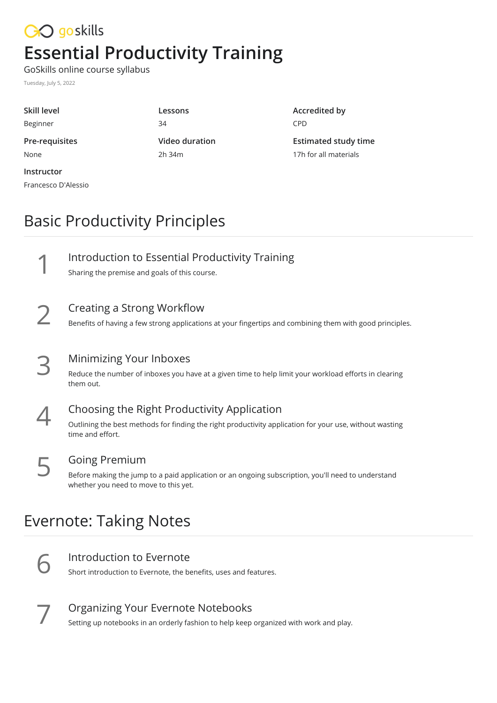# CO goskills **Essential Productivity Training**

GoSkills online course syllabus

Tuesday, July 5, 2022

Francesco D'Alessio

| Skill level    | Lessons        |
|----------------|----------------|
| Beginner       | 34             |
| Pre-requisites | Video duration |
| None           | $2h$ 34 $m$    |
| Instructor     |                |

**Accredited by** CPD

**Estimated study time** 17h for all materials

## Basic Productivity Principles

|        | Introduction to Essential Productivity Training<br>Sharing the premise and goals of this course.                                       |
|--------|----------------------------------------------------------------------------------------------------------------------------------------|
| $\sum$ | Creating a Strong Workflow<br>Benefits of having a few strong applications at your fingertips and combining them with good principles. |

| $\mathbf{C}$<br>$\overline{\phantom{0}}$ | Minimizing Your Inboxes                                                                                            |
|------------------------------------------|--------------------------------------------------------------------------------------------------------------------|
|                                          | Reduce the number of inboxes you have at a given time to help limit your workload efforts in clearing<br>them out. |

**Choosing the Right Productivity Application**<br>
outlining the best methods for finding the right productivity applic<br>
time and effort. Outlining the best methods for finding the right productivity application for your use, without wasting

#### Going Premium

Before making the jump to a paid application or an ongoing subscription, you'll need to understand **5** Going Premium<br>Before making the jump to a paid appl<br>whether you need to move to this yet.

#### Evernote: Taking Notes

Introduction to Evernote<br>Short introduction to Evernote, the benefits, uses and features.

Organizing Your Evernote Notebooks<br>Setting up notebooks in an orderly fashion to help keep organized with work and play.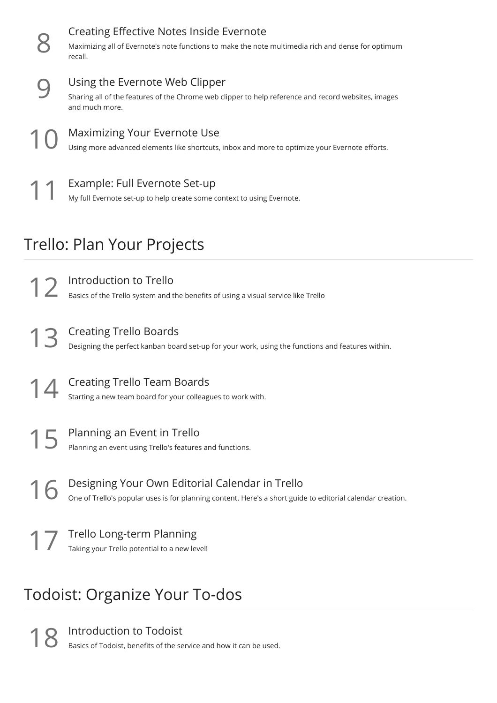|    | Creating Effective Notes Inside Evernote<br>Maximizing all of Evernote's note functions to make the note multimedia rich and dense for optimum<br>recall. |
|----|-----------------------------------------------------------------------------------------------------------------------------------------------------------|
|    | Using the Evernote Web Clipper<br>Sharing all of the features of the Chrome web clipper to help reference and record websites, images<br>and much more.   |
| 10 | <b>Maximizing Your Evernote Use</b><br>Using more advanced elements like shortcuts, inbox and more to optimize your Evernote efforts.                     |
|    | Example: Full Evernote Set-up<br>My full Evernote set-up to help create some context to using Evernote.                                                   |

### Trello: Plan Your Projects

Introduction to Trello<br>Basics of the Trello system and the benefits of using a visual service like Trello

Creating Trello Boards<br>13 Designing the perfect kanban board set-up for your work, using the functions and features within.

Creating Trello Team Boards<br>Starting a new team board for your colleagues to work with.

Planning an Event in Trello<br>Planning an event using Trello's features and functions.

Designing Your Own Editorial Calendar in Trello<br>One of Trello's popular uses is for planning content. Here's a short guide to editorial calendar creation.

Trello Long-term Planning<br>Taking your Trello potential to a new level!

# Todoist: Organize Your To-dos

Introduction to Todoist<br>Basics of Todoist, benefits of the service and how it can be used.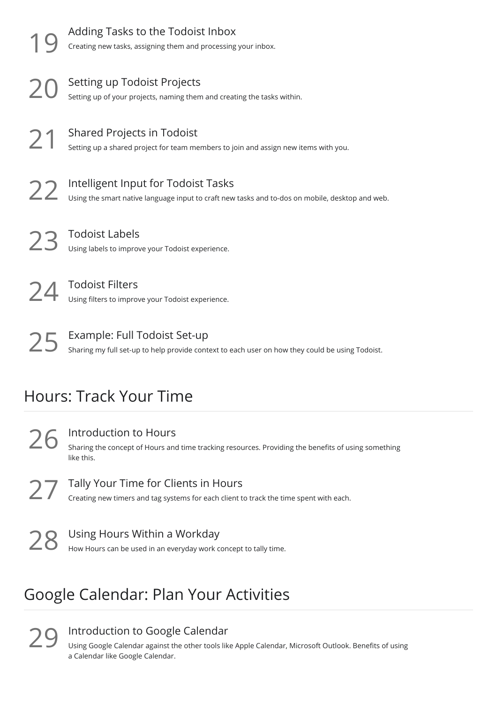|                        | Adding Tasks to the Todoist Inbox<br>Creating new tasks, assigning them and processing your inbox.                                     |  |
|------------------------|----------------------------------------------------------------------------------------------------------------------------------------|--|
|                        | Setting up Todoist Projects<br>Setting up of your projects, naming them and creating the tasks within.                                 |  |
| 21                     | <b>Shared Projects in Todoist</b><br>Setting up a shared project for team members to join and assign new items with you.               |  |
| 22                     | Intelligent Input for Todoist Tasks<br>Using the smart native language input to craft new tasks and to-dos on mobile, desktop and web. |  |
|                        | <b>Todoist Labels</b><br>Using labels to improve your Todoist experience.                                                              |  |
|                        | <b>Todoist Filters</b><br>Using filters to improve your Todoist experience.                                                            |  |
| 25                     | Example: Full Todoist Set-up<br>Sharing my full set-up to help provide context to each user on how they could be using Todoist.        |  |
| Hours: Track Your Time |                                                                                                                                        |  |

Introduction to Hours Sharing the concept of Hours and time tracking resources. Providing the benefits of using something  $26$  Introd<br>
Sharing<br>
like this.

27 Tally Your Time for Clients in Hours<br>Creating new timers and tag systems for each client to track the time spent with each.

28 Using Hours Within a Workday<br>28 How Hours can be used in an everyday work concept to tally time.

## Google Calendar: Plan Your Activities

**29** Introduction to Google Calendar<br>
Using Google Calendar against the other tools like<br>
a Calendar like Google Calendar. Using Google Calendar against the other tools like Apple Calendar, Microsoft Outlook. Benefits of using